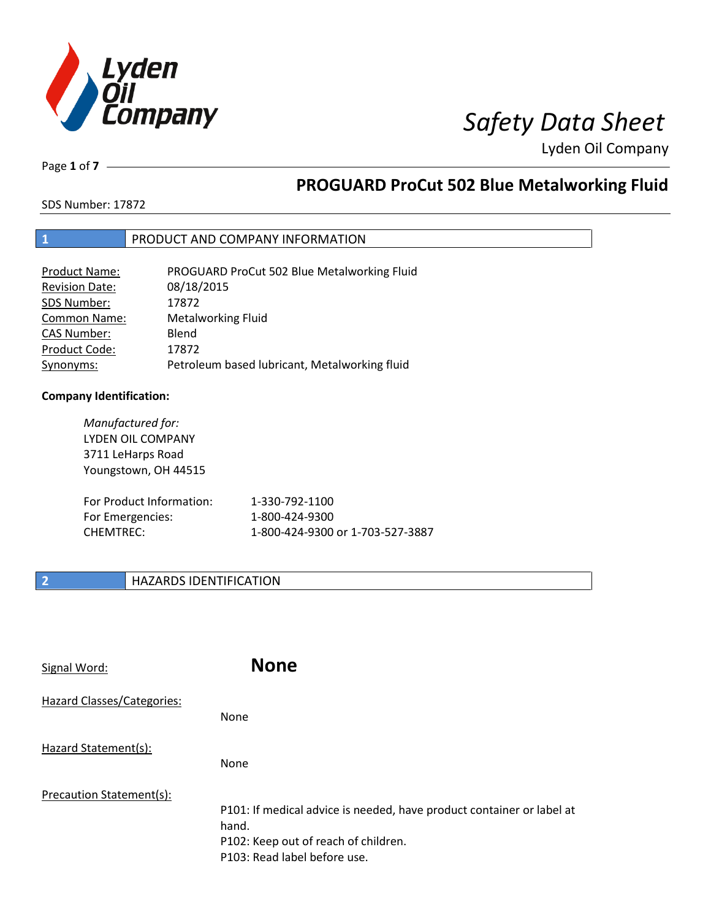

Page **1** of **7**

# **PROGUARD ProCut 502 Blue Metalworking Fluid**

SDS Number: 17872

### **1** PRODUCT AND COMPANY INFORMATION

| <b>Product Name:</b>  | PROGUARD ProCut 502 Blue Metalworking Fluid   |
|-----------------------|-----------------------------------------------|
| <b>Revision Date:</b> | 08/18/2015                                    |
| SDS Number:           | 17872                                         |
| Common Name:          | <b>Metalworking Fluid</b>                     |
| <b>CAS Number:</b>    | Blend                                         |
| Product Code:         | 17872                                         |
| Synonyms:             | Petroleum based lubricant, Metalworking fluid |

### **Company Identification:**

*Manufactured for:* LYDEN OIL COMPANY 3711 LeHarps Road Youngstown, OH 44515 For Product Information: 1-330-792-1100 For Emergencies: 1-800-424-9300 CHEMTREC: 1-800-424-9300 or 1-703-527-3887

### **2 HAZARDS IDENTIFICATION**

| Signal Word:                      | <b>None</b>                                                           |
|-----------------------------------|-----------------------------------------------------------------------|
| <b>Hazard Classes/Categories:</b> | None                                                                  |
| Hazard Statement(s):              | None                                                                  |
| Precaution Statement(s):          |                                                                       |
|                                   | P101: If medical advice is needed, have product container or label at |
|                                   | hand.                                                                 |
|                                   | P102: Keep out of reach of children.                                  |
|                                   | P103: Read label before use.                                          |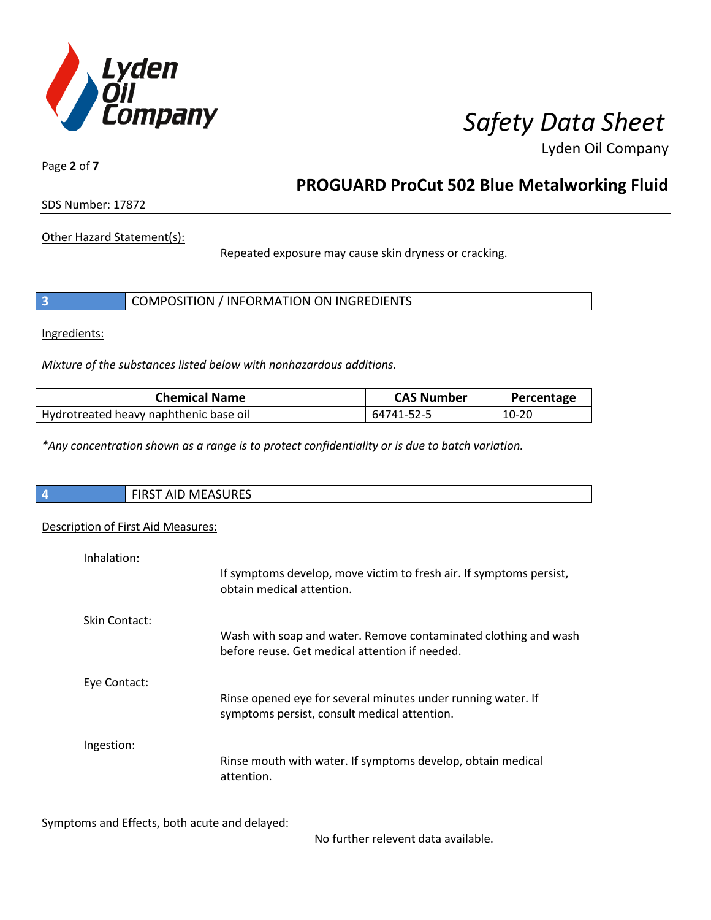

Page **2** of **7**

# **PROGUARD ProCut 502 Blue Metalworking Fluid**

SDS Number: 17872

Other Hazard Statement(s):

Repeated exposure may cause skin dryness or cracking.

| COMPOSITION / INFORMATION ON INGREDIENTS |  |
|------------------------------------------|--|
|------------------------------------------|--|

Ingredients:

*Mixture of the substances listed below with nonhazardous additions.*

| <b>Chemical Name</b>                   | <b>CAS Number</b> | Percentage |
|----------------------------------------|-------------------|------------|
| Hydrotreated heavy naphthenic base oil | 64741-52-5        | $10 - 20$  |

*\*Any concentration shown as a range is to protect confidentiality or is due to batch variation.*

| <b>ACLIDEC</b><br>$ -$<br>$\blacksquare$ $\blacksquare$ $\blacksquare$<br>כחוד.<br>ח ועו<br>--<br>כאחט |
|--------------------------------------------------------------------------------------------------------|
|                                                                                                        |

### Description of First Aid Measures:

| Inhalation:   | If symptoms develop, move victim to fresh air. If symptoms persist,                                               |
|---------------|-------------------------------------------------------------------------------------------------------------------|
|               | obtain medical attention.                                                                                         |
| Skin Contact: |                                                                                                                   |
|               | Wash with soap and water. Remove contaminated clothing and wash<br>before reuse. Get medical attention if needed. |
| Eye Contact:  |                                                                                                                   |
|               | Rinse opened eye for several minutes under running water. If<br>symptoms persist, consult medical attention.      |
| Ingestion:    |                                                                                                                   |
|               | Rinse mouth with water. If symptoms develop, obtain medical<br>attention.                                         |

Symptoms and Effects, both acute and delayed:

No further relevent data available.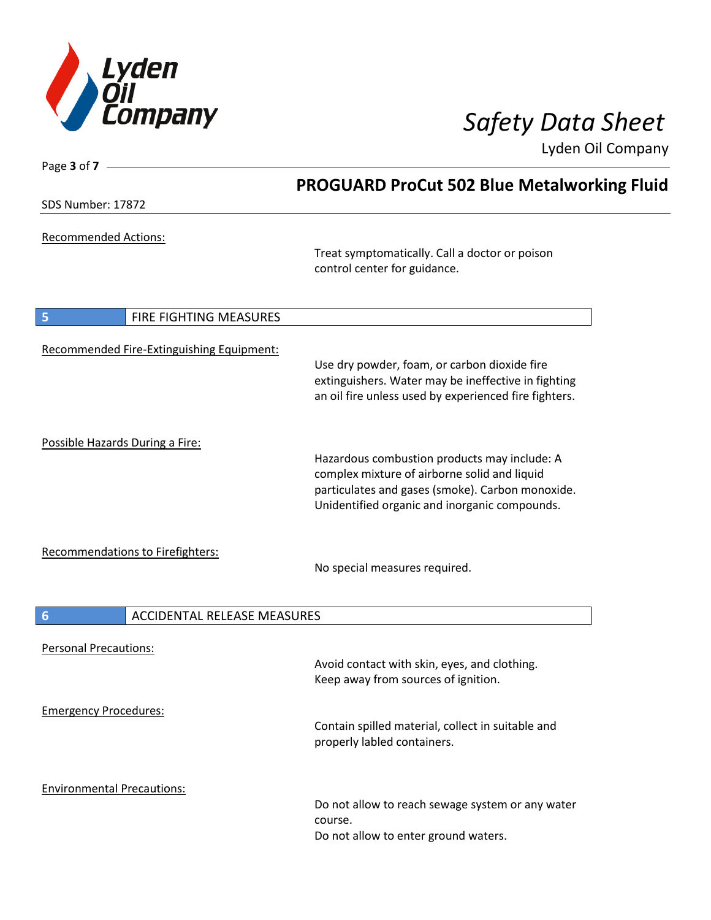

Page **3** of **7**

Lyden Oil Company

|                                           | <b>PROGUARD ProCut 502 Blue Metalworking Fluid</b>                                                                                                                                                |  |
|-------------------------------------------|---------------------------------------------------------------------------------------------------------------------------------------------------------------------------------------------------|--|
| SDS Number: 17872                         |                                                                                                                                                                                                   |  |
| <b>Recommended Actions:</b>               | Treat symptomatically. Call a doctor or poison<br>control center for guidance.                                                                                                                    |  |
| FIRE FIGHTING MEASURES<br>5               |                                                                                                                                                                                                   |  |
| Recommended Fire-Extinguishing Equipment: | Use dry powder, foam, or carbon dioxide fire<br>extinguishers. Water may be ineffective in fighting<br>an oil fire unless used by experienced fire fighters.                                      |  |
| Possible Hazards During a Fire:           | Hazardous combustion products may include: A<br>complex mixture of airborne solid and liquid<br>particulates and gases (smoke). Carbon monoxide.<br>Unidentified organic and inorganic compounds. |  |
| Recommendations to Firefighters:          | No special measures required.                                                                                                                                                                     |  |
| 6<br><b>ACCIDENTAL RELEASE MEASURES</b>   |                                                                                                                                                                                                   |  |
| <b>Personal Precautions:</b>              | Avoid contact with skin, eyes, and clothing.<br>Keep away from sources of ignition.                                                                                                               |  |
| <b>Emergency Procedures:</b>              | Contain spilled material, collect in suitable and<br>properly labled containers.                                                                                                                  |  |
| <b>Environmental Precautions:</b>         | Do not allow to reach sewage system or any water<br>course.<br>Do not allow to enter ground waters.                                                                                               |  |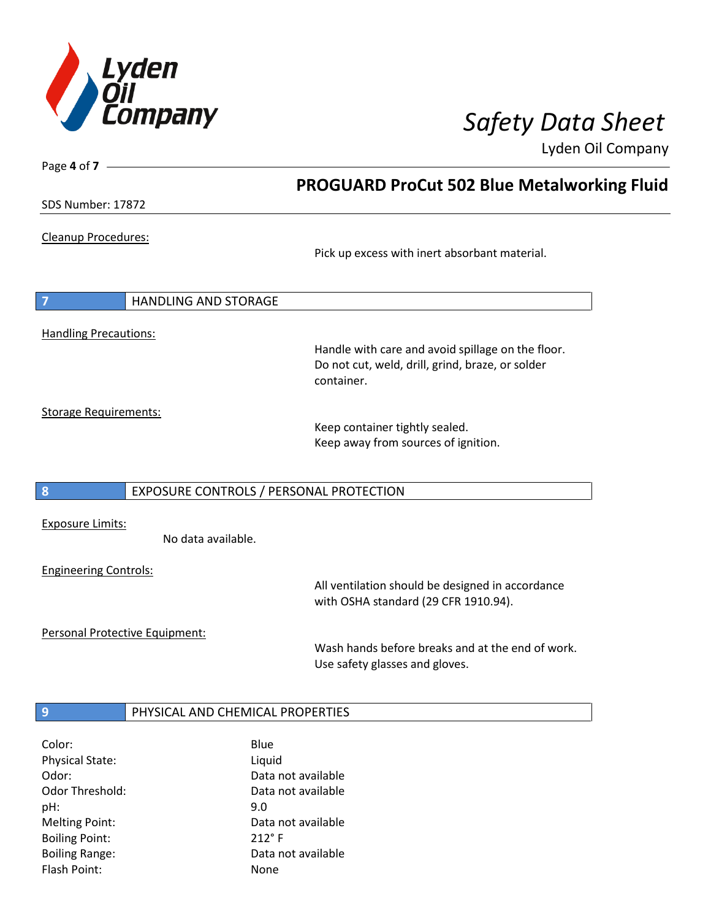

SDS Number: 17872

Page **4** of **7**

Cleanup Procedures:

Pick up excess with inert absorbant material.

**PROGUARD ProCut 502 Blue Metalworking Fluid**

**7** HANDLING AND STORAGE Handling Precautions:

> Handle with care and avoid spillage on the floor. Do not cut, weld, drill, grind, braze, or solder container.

Storage Requirements:

Keep container tightly sealed. Keep away from sources of ignition.

### **8** EXPOSURE CONTROLS / PERSONAL PROTECTION

Exposure Limits:

No data available.

Engineering Controls:

All ventilation should be designed in accordance with OSHA standard (29 CFR 1910.94).

Personal Protective Equipment:

Wash hands before breaks and at the end of work. Use safety glasses and gloves.

### **9 PHYSICAL AND CHEMICAL PROPERTIES**

| Color:                 | Blue               |
|------------------------|--------------------|
| <b>Physical State:</b> | Liquid             |
| Odor:                  | Data not available |
| Odor Threshold:        | Data not available |
| pH:                    | 9.0                |
| <b>Melting Point:</b>  | Data not available |
| <b>Boiling Point:</b>  | $212^{\circ}$ F    |
| <b>Boiling Range:</b>  | Data not available |
| Flash Point:           | None               |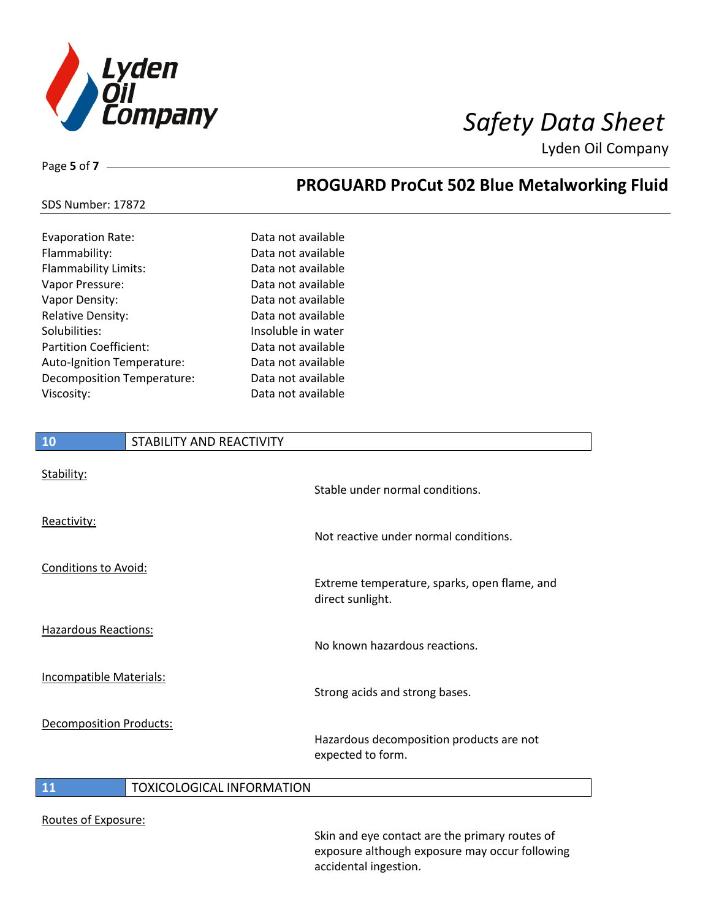

**PROGUARD ProCut 502 Blue Metalworking Fluid**

Lyden Oil Company

## SDS Number: 17872

Page **5** of **7**

| Evaporation Rate:             | Data not available |
|-------------------------------|--------------------|
| Flammability:                 | Data not available |
| <b>Flammability Limits:</b>   | Data not available |
| Vapor Pressure:               | Data not available |
| Vapor Density:                | Data not available |
| <b>Relative Density:</b>      | Data not available |
| Solubilities:                 | Insoluble in water |
| <b>Partition Coefficient:</b> | Data not available |
| Auto-Ignition Temperature:    | Data not available |
| Decomposition Temperature:    | Data not available |
| Viscosity:                    | Data not available |
|                               |                    |

# **10** STABILITY AND REACTIVITY Stability: Stable under normal conditions. Reactivity: Not reactive under normal conditions. Conditions to Avoid: Extreme temperature, sparks, open flame, and direct sunlight. Hazardous Reactions: No known hazardous reactions.

Incompatible Materials:

Decomposition Products:

Hazardous decomposition products are not expected to form.

Strong acids and strong bases.

### **11** TOXICOLOGICAL INFORMATION

### Routes of Exposure:

Skin and eye contact are the primary routes of exposure although exposure may occur following accidental ingestion.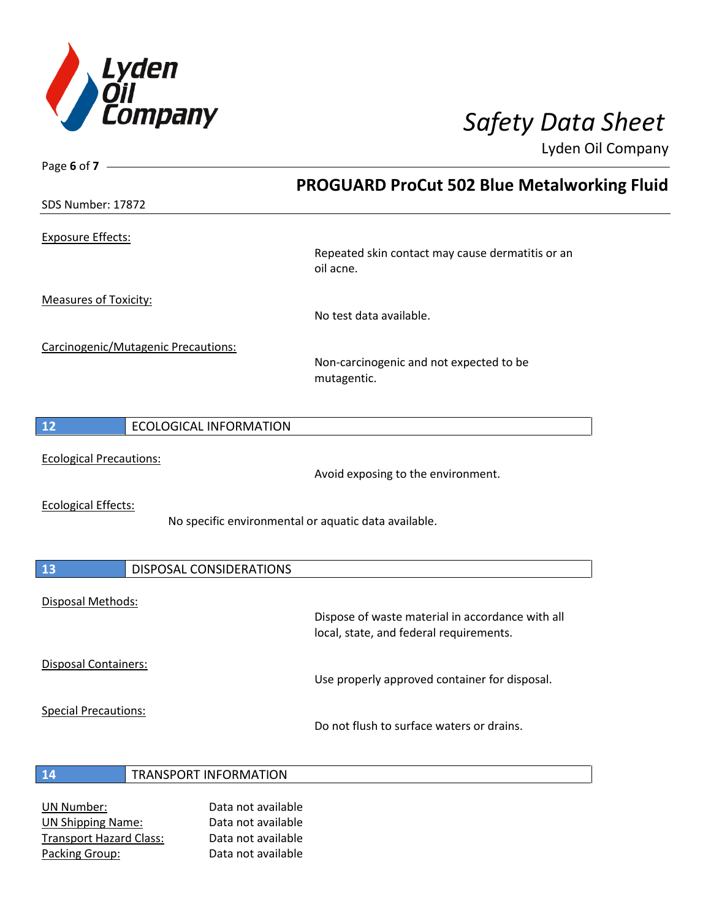

| Page 6 of $7 -$                         |                                                                                             |
|-----------------------------------------|---------------------------------------------------------------------------------------------|
|                                         | <b>PROGUARD ProCut 502 Blue Metalworking Fluid</b>                                          |
| SDS Number: 17872                       |                                                                                             |
| <b>Exposure Effects:</b>                |                                                                                             |
|                                         | Repeated skin contact may cause dermatitis or an<br>oil acne.                               |
| <b>Measures of Toxicity:</b>            | No test data available.                                                                     |
| Carcinogenic/Mutagenic Precautions:     | Non-carcinogenic and not expected to be<br>mutagentic.                                      |
| <b>ECOLOGICAL INFORMATION</b><br>12     |                                                                                             |
| <b>Ecological Precautions:</b>          | Avoid exposing to the environment.                                                          |
| <b>Ecological Effects:</b>              | No specific environmental or aquatic data available.                                        |
| 13<br>DISPOSAL CONSIDERATIONS           |                                                                                             |
| Disposal Methods:                       |                                                                                             |
|                                         | Dispose of waste material in accordance with all<br>local, state, and federal requirements. |
| <b>Disposal Containers:</b>             | Use properly approved container for disposal.                                               |
| <b>Special Precautions:</b>             | Do not flush to surface waters or drains.                                                   |
| 14<br><b>TRANSPORT INFORMATION</b>      |                                                                                             |
| Data not available<br><b>IIN Numbor</b> |                                                                                             |

UN Number: Data not available UN Shipping Name: Data not available Transport Hazard Class: Data not available Packing Group: Data not available